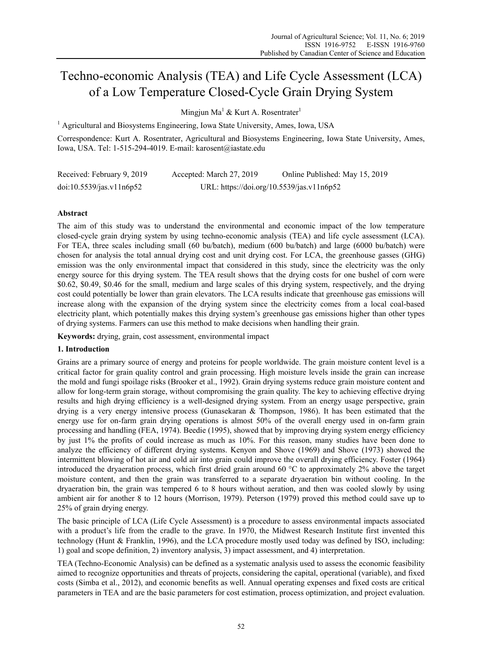# Techno-economic Analysis (TEA) and Life Cycle Assessment (LCA) of a Low Temperature Closed-Cycle Grain Drying System

Mingjun Ma<sup>1</sup> & Kurt A. Rosentrater<sup>1</sup>

<sup>1</sup> Agricultural and Biosystems Engineering, Iowa State University, Ames, Iowa, USA

Correspondence: Kurt A. Rosentrater, Agricultural and Biosystems Engineering, Iowa State University, Ames, Iowa, USA. Tel: 1-515-294-4019. E-mail: karosent@iastate.edu

| Received: February 9, 2019 | Accepted: March 27, 2019                  | Online Published: May 15, 2019 |
|----------------------------|-------------------------------------------|--------------------------------|
| doi:10.5539/jas.v11n6p52   | URL: https://doi.org/10.5539/jas.v11n6p52 |                                |

### **Abstract**

The aim of this study was to understand the environmental and economic impact of the low temperature closed-cycle grain drying system by using techno-economic analysis (TEA) and life cycle assessment (LCA). For TEA, three scales including small (60 bu/batch), medium (600 bu/batch) and large (6000 bu/batch) were chosen for analysis the total annual drying cost and unit drying cost. For LCA, the greenhouse gasses (GHG) emission was the only environmental impact that considered in this study, since the electricity was the only energy source for this drying system. The TEA result shows that the drying costs for one bushel of corn were \$0.62, \$0.49, \$0.46 for the small, medium and large scales of this drying system, respectively, and the drying cost could potentially be lower than grain elevators. The LCA results indicate that greenhouse gas emissions will increase along with the expansion of the drying system since the electricity comes from a local coal-based electricity plant, which potentially makes this drying system's greenhouse gas emissions higher than other types of drying systems. Farmers can use this method to make decisions when handling their grain.

**Keywords:** drying, grain, cost assessment, environmental impact

### **1. Introduction**

Grains are a primary source of energy and proteins for people worldwide. The grain moisture content level is a critical factor for grain quality control and grain processing. High moisture levels inside the grain can increase the mold and fungi spoilage risks (Brooker et al., 1992). Grain drying systems reduce grain moisture content and allow for long-term grain storage, without compromising the grain quality. The key to achieving effective drying results and high drying efficiency is a well-designed drying system. From an energy usage perspective, grain drying is a very energy intensive process (Gunasekaran & Thompson, 1986). It has been estimated that the energy use for on-farm grain drying operations is almost 50% of the overall energy used in on-farm grain processing and handling (FEA, 1974). Beedie (1995), showed that by improving drying system energy efficiency by just 1% the profits of could increase as much as 10%. For this reason, many studies have been done to analyze the efficiency of different drying systems. Kenyon and Shove (1969) and Shove (1973) showed the intermittent blowing of hot air and cold air into grain could improve the overall drying efficiency. Foster (1964) introduced the dryaeration process, which first dried grain around 60 °C to approximately 2% above the target moisture content, and then the grain was transferred to a separate dryaeration bin without cooling. In the dryaeration bin, the grain was tempered 6 to 8 hours without aeration, and then was cooled slowly by using ambient air for another 8 to 12 hours (Morrison, 1979). Peterson (1979) proved this method could save up to 25% of grain drying energy.

The basic principle of LCA (Life Cycle Assessment) is a procedure to assess environmental impacts associated with a product's life from the cradle to the grave. In 1970, the Midwest Research Institute first invented this technology (Hunt & Franklin, 1996), and the LCA procedure mostly used today was defined by ISO, including: 1) goal and scope definition, 2) inventory analysis, 3) impact assessment, and 4) interpretation.

TEA (Techno-Economic Analysis) can be defined as a systematic analysis used to assess the economic feasibility aimed to recognize opportunities and threats of projects, considering the capital, operational (variable), and fixed costs (Simba et al., 2012), and economic benefits as well. Annual operating expenses and fixed costs are critical parameters in TEA and are the basic parameters for cost estimation, process optimization, and project evaluation.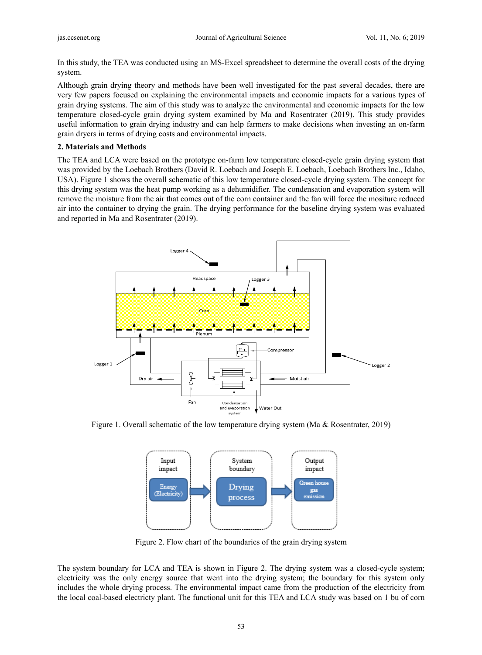In this study, the TEA was conducted using an MS-Excel spreadsheet to determine the overall costs of the drying system.

Although grain drying theory and methods have been well investigated for the past several decades, there are very few papers focused on explaining the environmental impacts and economic impacts for a various types of grain drying systems. The aim of this study was to analyze the environmental and economic impacts for the low temperature closed-cycle grain drying system examined by Ma and Rosentrater (2019). This study provides useful information to grain drying industry and can help farmers to make decisions when investing an on-farm grain dryers in terms of drying costs and environmental impacts.

#### **2. Materials and Methods**

The TEA and LCA were based on the prototype on-farm low temperature closed-cycle grain drying system that was provided by the Loebach Brothers (David R. Loebach and Joseph E. Loebach, Loebach Brothers Inc., Idaho, USA). Figure 1 shows the overall schematic of this low temperature closed-cycle drying system. The concept for this drying system was the heat pump working as a dehumidifier. The condensation and evaporation system will remove the moisture from the air that comes out of the corn container and the fan will force the mositure reduced air into the container to drying the grain. The drying performance for the baseline drying system was evaluated and reported in Ma and Rosentrater (2019).



Figure 1. Overall schematic of the low temperature drying system (Ma & Rosentrater, 2019)



Figure 2. Flow chart of the boundaries of the grain drying system

The system boundary for LCA and TEA is shown in Figure 2. The drying system was a closed-cycle system; electricity was the only energy source that went into the drying system; the boundary for this system only includes the whole drying process. The environmental impact came from the production of the electricity from the local coal-based electricty plant. The functional unit for this TEA and LCA study was based on 1 bu of corn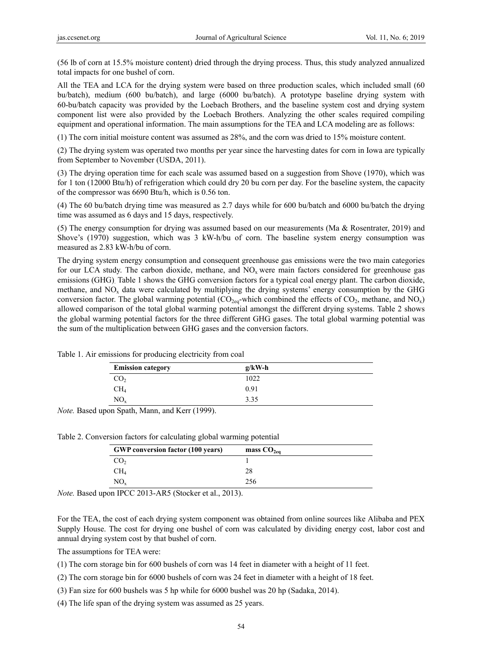(56 lb of corn at 15.5% moisture content) dried through the drying process. Thus, this study analyzed annualized total impacts for one bushel of corn.

All the TEA and LCA for the drying system were based on three production scales, which included small (60 bu/batch), medium (600 bu/batch), and large (6000 bu/batch). A prototype baseline drying system with 60-bu/batch capacity was provided by the Loebach Brothers, and the baseline system cost and drying system component list were also provided by the Loebach Brothers. Analyzing the other scales required compiling equipment and operational information. The main assumptions for the TEA and LCA modeling are as follows:

(1) The corn initial moisture content was assumed as 28%, and the corn was dried to 15% moisture content.

(2) The drying system was operated two months per year since the harvesting dates for corn in Iowa are typically from September to November (USDA, 2011).

(3) The drying operation time for each scale was assumed based on a suggestion from Shove (1970), which was for 1 ton (12000 Btu/h) of refrigeration which could dry 20 bu corn per day. For the baseline system, the capacity of the compressor was 6690 Btu/h, which is 0.56 ton.

(4) The 60 bu/batch drying time was measured as 2.7 days while for 600 bu/batch and 6000 bu/batch the drying time was assumed as 6 days and 15 days, respectively.

(5) The energy consumption for drying was assumed based on our measurements (Ma & Rosentrater, 2019) and Shove's (1970) suggestion, which was 3 kW-h/bu of corn. The baseline system energy consumption was measured as 2.83 kW-h/bu of corn.

The drying system energy consumption and consequent greenhouse gas emissions were the two main categories for our LCA study. The carbon dioxide, methane, and NO<sub>x</sub> were main factors considered for greenhouse gas emissions (GHG). Table 1 shows the GHG conversion factors for a typical coal energy plant. The carbon dioxide, methane, and  $NO<sub>x</sub>$  data were calculated by multiplying the drying systems' energy consumption by the GHG conversion factor. The global warming potential  $(CO_{2eq}$ -which combined the effects of  $CO_2$ , methane, and  $NO_x$ ) allowed comparison of the total global warming potential amongst the different drying systems. Table 2 shows the global warming potential factors for the three different GHG gases. The total global warming potential was the sum of the multiplication between GHG gases and the conversion factors.

| <b>Emission category</b> | $g/kW-h$ |  |
|--------------------------|----------|--|
| CO,                      | 1022     |  |
| $\rm CH_{4}$             | 0.91     |  |
| $\rm NO_x$               | 3.35     |  |

Table 1. Air emissions for producing electricity from coal

*Note.* Based upon Spath, Mann, and Kerr (1999).

Table 2. Conversion factors for calculating global warming potential

| <b>GWP</b> conversion factor (100 years) | mass $CO2ea$ |
|------------------------------------------|--------------|
| CO,                                      |              |
| CH4                                      | 28           |
| $NO_{x}$                                 | 256          |

*Note.* Based upon IPCC 2013-AR5 (Stocker et al., 2013).

For the TEA, the cost of each drying system component was obtained from online sources like Alibaba and PEX Supply House. The cost for drying one bushel of corn was calculated by dividing energy cost, labor cost and annual drying system cost by that bushel of corn.

The assumptions for TEA were:

(1) The corn storage bin for 600 bushels of corn was 14 feet in diameter with a height of 11 feet.

(2) The corn storage bin for 6000 bushels of corn was 24 feet in diameter with a height of 18 feet.

(3) Fan size for 600 bushels was 5 hp while for 6000 bushel was 20 hp (Sadaka, 2014).

(4) The life span of the drying system was assumed as 25 years.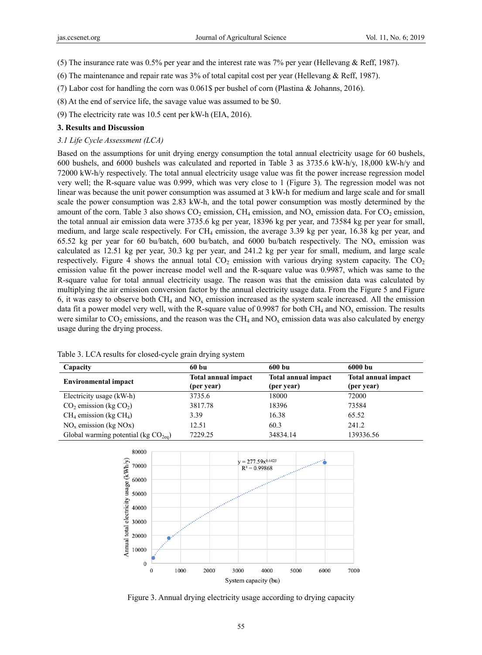(5) The insurance rate was 0.5% per year and the interest rate was 7% per year (Hellevang & Reff, 1987).

(6) The maintenance and repair rate was 3% of total capital cost per year (Hellevang & Reff, 1987).

(7) Labor cost for handling the corn was 0.061\$ per bushel of corn (Plastina & Johanns, 2016).

(8) At the end of service life, the savage value was assumed to be \$0.

(9) The electricity rate was 10.5 cent per kW-h (EIA, 2016).

### **3. Results and Discussion**

#### *3.1 Life Cycle Assessment (LCA)*

Based on the assumptions for unit drying energy consumption the total annual electricity usage for 60 bushels, 600 bushels, and 6000 bushels was calculated and reported in Table 3 as 3735.6 kW-h/y, 18,000 kW-h/y and 72000 kW-h/y respectively. The total annual electricity usage value was fit the power increase regression model very well; the R-square value was 0.999, which was very close to 1 (Figure 3). The regression model was not linear was because the unit power consumption was assumed at 3 kW-h for medium and large scale and for small scale the power consumption was 2.83 kW-h, and the total power consumption was mostly determined by the amount of the corn. Table 3 also shows  $CO<sub>2</sub>$  emission,  $CH<sub>4</sub>$  emission, and NO<sub>x</sub> emission data. For  $CO<sub>2</sub>$  emission, the total annual air emission data were 3735.6 kg per year, 18396 kg per year, and 73584 kg per year for small, medium, and large scale respectively. For CH4 emission, the average 3.39 kg per year, 16.38 kg per year, and 65.52 kg per year for 60 bu/batch, 600 bu/batch, and 6000 bu/batch respectively. The  $NO<sub>x</sub>$  emission was calculated as 12.51 kg per year, 30.3 kg per year, and 241.2 kg per year for small, medium, and large scale respectively. Figure 4 shows the annual total  $CO<sub>2</sub>$  emission with various drying system capacity. The  $CO<sub>2</sub>$ emission value fit the power increase model well and the R-square value was 0.9987, which was same to the R-square value for total annual electricity usage. The reason was that the emission data was calculated by multiplying the air emission conversion factor by the annual electricity usage data. From the Figure 5 and Figure 6, it was easy to observe both  $CH_4$  and  $NO_x$  emission increased as the system scale increased. All the emission data fit a power model very well, with the R-square value of 0.9987 for both  $CH_4$  and  $NO<sub>x</sub>$  emission. The results were similar to  $CO_2$  emissions, and the reason was the  $CH_4$  and  $NO_x$  emission data was also calculated by energy usage during the drying process.

| Capacity                               | 60 bu                                    | 600 bu                                   | 6000 bu                                  |
|----------------------------------------|------------------------------------------|------------------------------------------|------------------------------------------|
| <b>Environmental impact</b>            | <b>Total annual impact</b><br>(per year) | <b>Total annual impact</b><br>(per year) | <b>Total annual impact</b><br>(per year) |
| Electricity usage (kW-h)               | 3735.6                                   | 18000                                    | 72000                                    |
| $CO2$ emission (kg $CO2$ )             | 3817.78                                  | 18396                                    | 73584                                    |
| $CH_4$ emission (kg $CH_4$ )           | 3.39                                     | 16.38                                    | 65.52                                    |
| $NOx$ emission (kg NOx)                | 12.51                                    | 60.3                                     | 241.2                                    |
| Global warming potential (kg $CO2ea$ ) | 7229.25                                  | 34834.14                                 | 139336.56                                |

Table 3. LCA results for closed-cycle grain drying system



Figure 3. Annual drying electricity usage according to drying capacity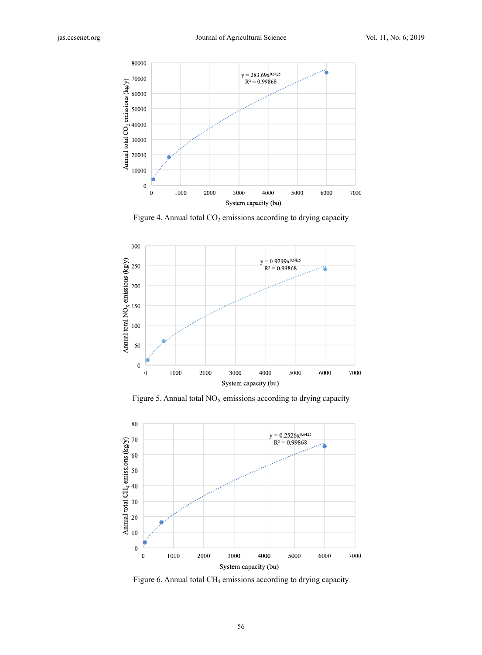

Figure 4. Annual total  $CO<sub>2</sub>$  emissions according to drying capacity



Figure 5. Annual total  $NO<sub>X</sub>$  emissions according to drying capacity



Figure 6. Annual total CH4 emissions according to drying capacity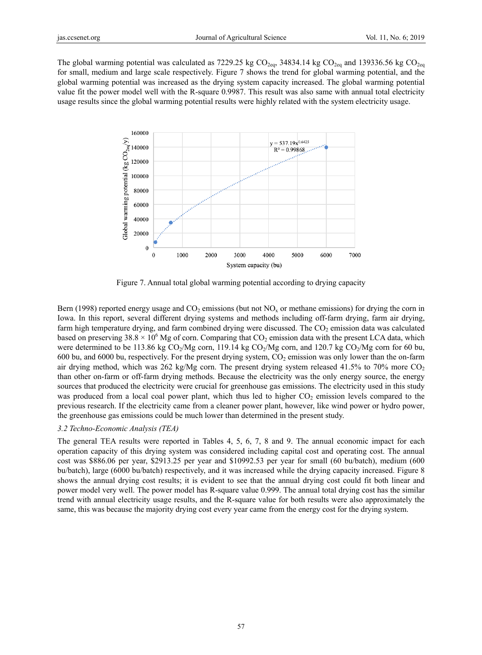The global warming potential was calculated as 7229.25 kg  $CO_{2eq}$ , 34834.14 kg  $CO_{2eq}$  and 139336.56 kg  $CO_{2eq}$ for small, medium and large scale respectively. Figure 7 shows the trend for global warming potential, and the global warming potential was increased as the drying system capacity increased. The global warming potential value fit the power model well with the R-square 0.9987. This result was also same with annual total electricity usage results since the global warming potential results were highly related with the system electricity usage.



Figure 7. Annual total global warming potential according to drying capacity

Bern (1998) reported energy usage and  $CO<sub>2</sub>$  emissions (but not  $NO<sub>x</sub>$  or methane emissions) for drying the corn in Iowa. In this report, several different drying systems and methods including off-farm drying, farm air drying, farm high temperature drying, and farm combined drying were discussed. The  $CO<sub>2</sub>$  emission data was calculated based on preserving 38.8  $\times$  10<sup>6</sup> Mg of corn. Comparing that CO<sub>2</sub> emission data with the present LCA data, which were determined to be 113.86 kg  $CO_2/Mg$  corn, 119.14 kg  $CO_2/Mg$  corn, and 120.7 kg  $CO_2/Mg$  corn for 60 bu, 600 bu, and 6000 bu, respectively. For the present drying system,  $CO<sub>2</sub>$  emission was only lower than the on-farm air drying method, which was 262 kg/Mg corn. The present drying system released 41.5% to 70% more  $CO<sub>2</sub>$ than other on-farm or off-farm drying methods. Because the electricity was the only energy source, the energy sources that produced the electricity were crucial for greenhouse gas emissions. The electricity used in this study was produced from a local coal power plant, which thus led to higher  $CO<sub>2</sub>$  emission levels compared to the previous research. If the electricity came from a cleaner power plant, however, like wind power or hydro power, the greenhouse gas emissions could be much lower than determined in the present study.

### *3.2 Techno-Economic Analysis (TEA)*

The general TEA results were reported in Tables 4, 5, 6, 7, 8 and 9. The annual economic impact for each operation capacity of this drying system was considered including capital cost and operating cost. The annual cost was \$886.06 per year, \$2913.25 per year and \$10992.53 per year for small (60 bu/batch), medium (600 bu/batch), large (6000 bu/batch) respectively, and it was increased while the drying capacity increased. Figure 8 shows the annual drying cost results; it is evident to see that the annual drying cost could fit both linear and power model very well. The power model has R-square value 0.999. The annual total drying cost has the similar trend with annual electricity usage results, and the R-square value for both results were also approximately the same, this was because the majority drying cost every year came from the energy cost for the drying system.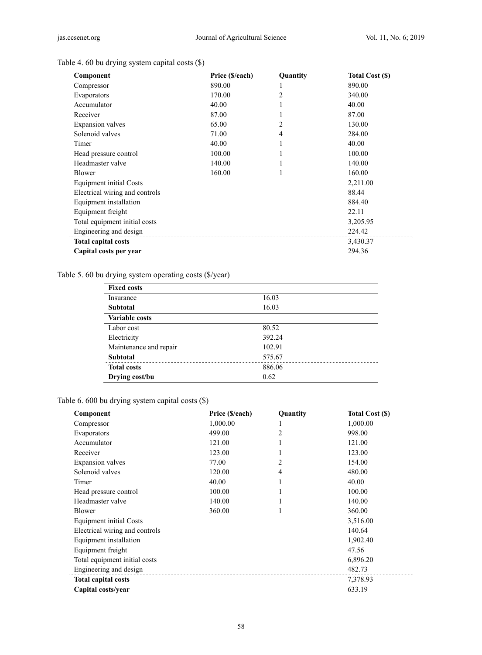| Component                      | Price (\$/each) | Quantity | <b>Total Cost (\$)</b> |
|--------------------------------|-----------------|----------|------------------------|
| Compressor                     | 890.00          | 1        | 890.00                 |
| Evaporators                    | 170.00          | 2        | 340.00                 |
| Accumulator                    | 40.00           |          | 40.00                  |
| Receiver                       | 87.00           |          | 87.00                  |
| Expansion valves               | 65.00           | 2        | 130.00                 |
| Solenoid valves                | 71.00           | 4        | 284.00                 |
| Timer                          | 40.00           |          | 40.00                  |
| Head pressure control          | 100.00          |          | 100.00                 |
| Headmaster valve               | 140.00          |          | 140.00                 |
| Blower                         | 160.00          |          | 160.00                 |
| <b>Equipment initial Costs</b> |                 |          | 2,211.00               |
| Electrical wiring and controls |                 |          | 88.44                  |
| Equipment installation         |                 |          | 884.40                 |
| Equipment freight              |                 |          | 22.11                  |
| Total equipment initial costs  |                 |          | 3,205.95               |
| Engineering and design         |                 |          | 224.42                 |
| <b>Total capital costs</b>     |                 |          | 3,430.37               |
| Capital costs per year         |                 |          | 294.36                 |

# Table 4. 60 bu drying system capital costs (\$)

Table 5. 60 bu drying system operating costs (\$/year)

| <b>Fixed costs</b>     |        |
|------------------------|--------|
| Insurance              | 16.03  |
| <b>Subtotal</b>        | 16.03  |
| <b>Variable costs</b>  |        |
| Labor cost             | 80.52  |
| Electricity            | 392.24 |
| Maintenance and repair | 102.91 |
| <b>Subtotal</b>        | 575.67 |
| <b>Total costs</b>     | 886.06 |
| Drying cost/bu         | 0.62   |

Table 6. 600 bu drying system capital costs (\$)

| Component                      | Price (\$/each) | Quantity | Total Cost (\$) |
|--------------------------------|-----------------|----------|-----------------|
| Compressor                     | 1,000.00        |          | 1,000.00        |
| Evaporators                    | 499.00          | 2        | 998.00          |
| Accumulator                    | 121.00          |          | 121.00          |
| Receiver                       | 123.00          |          | 123.00          |
| <b>Expansion</b> valves        | 77.00           | 2        | 154.00          |
| Solenoid valves                | 120.00          | 4        | 480.00          |
| Timer                          | 40.00           |          | 40.00           |
| Head pressure control          | 100.00          |          | 100.00          |
| Headmaster valve               | 140.00          |          | 140.00          |
| Blower                         | 360.00          |          | 360.00          |
| <b>Equipment initial Costs</b> |                 |          | 3,516.00        |
| Electrical wiring and controls |                 |          | 140.64          |
| Equipment installation         |                 |          | 1,902.40        |
| Equipment freight              |                 |          | 47.56           |
| Total equipment initial costs  |                 |          | 6,896.20        |
| Engineering and design         |                 |          | 482.73          |
| <b>Total capital costs</b>     |                 |          | 7,378.93        |
| Capital costs/year             |                 |          | 633.19          |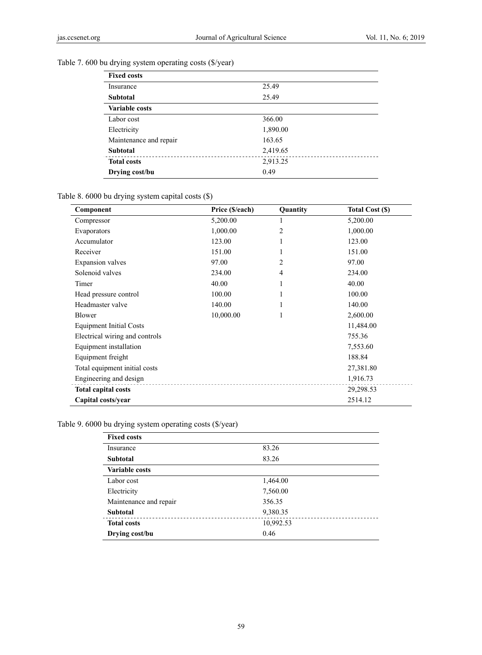| <b>Fixed costs</b>     |          |
|------------------------|----------|
| Insurance              | 25.49    |
| <b>Subtotal</b>        | 25.49    |
| Variable costs         |          |
| Labor cost             | 366.00   |
| Electricity            | 1,890.00 |
| Maintenance and repair | 163.65   |
| <b>Subtotal</b>        | 2,419.65 |
| <b>Total costs</b>     | 2,913.25 |
| Drying cost/bu         | 0.49     |

# Table 7. 600 bu drying system operating costs (\$/year)

# Table 8. 6000 bu drying system capital costs (\$)

| Component                      | Price (\$/each) | Quantity       | Total Cost (\$) |
|--------------------------------|-----------------|----------------|-----------------|
| Compressor                     | 5,200.00        | 1              | 5,200.00        |
| Evaporators                    | 1,000.00        | $\overline{c}$ | 1,000.00        |
| Accumulator                    | 123.00          | 1              | 123.00          |
| Receiver                       | 151.00          | 1              | 151.00          |
| <b>Expansion</b> valves        | 97.00           | $\overline{2}$ | 97.00           |
| Solenoid valves                | 234.00          | 4              | 234.00          |
| Timer                          | 40.00           | 1              | 40.00           |
| Head pressure control          | 100.00          | 1              | 100.00          |
| Headmaster valve               | 140.00          | 1              | 140.00          |
| Blower                         | 10,000.00       | 1              | 2,600.00        |
| <b>Equipment Initial Costs</b> |                 |                | 11,484.00       |
| Electrical wiring and controls |                 |                | 755.36          |
| Equipment installation         |                 |                | 7,553.60        |
| Equipment freight              |                 |                | 188.84          |
| Total equipment initial costs  |                 |                | 27,381.80       |
| Engineering and design         |                 |                | 1,916.73        |
| <b>Total capital costs</b>     |                 |                | 29,298.53       |
| Capital costs/year             |                 |                | 2514.12         |

# Table 9. 6000 bu drying system operating costs (\$/year)

| <b>Fixed costs</b>     |           |
|------------------------|-----------|
| Insurance              | 83.26     |
| <b>Subtotal</b>        | 83.26     |
| <b>Variable costs</b>  |           |
| Labor cost             | 1,464.00  |
| Electricity            | 7,560.00  |
| Maintenance and repair | 356.35    |
| <b>Subtotal</b>        | 9,380.35  |
| <b>Total costs</b>     | 10,992.53 |
| Drying cost/bu         | 0.46      |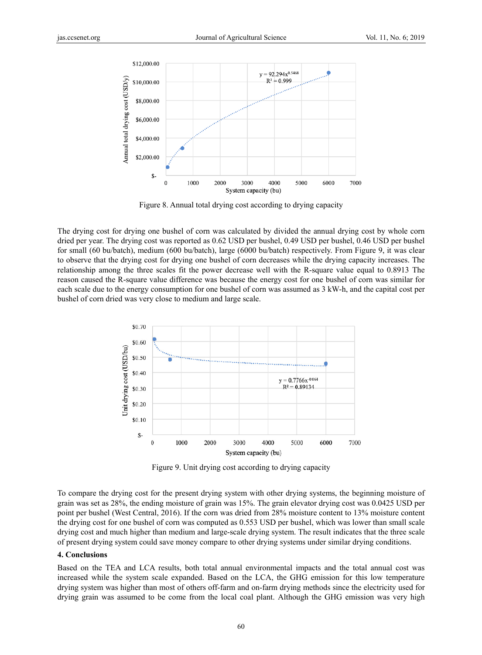

Figure 8. Annual total drying cost according to drying capacity

The drying cost for drying one bushel of corn was calculated by divided the annual drying cost by whole corn dried per year. The drying cost was reported as 0.62 USD per bushel, 0.49 USD per bushel, 0.46 USD per bushel for small (60 bu/batch), medium (600 bu/batch), large (6000 bu/batch) respectively. From Figure 9, it was clear to observe that the drying cost for drying one bushel of corn decreases while the drying capacity increases. The relationship among the three scales fit the power decrease well with the R-square value equal to 0.8913 The reason caused the R-square value difference was because the energy cost for one bushel of corn was similar for each scale due to the energy consumption for one bushel of corn was assumed as 3 kW-h, and the capital cost per bushel of corn dried was very close to medium and large scale.



Figure 9. Unit drying cost according to drying capacity

To compare the drying cost for the present drying system with other drying systems, the beginning moisture of grain was set as 28%, the ending moisture of grain was 15%. The grain elevator drying cost was 0.0425 USD per point per bushel (West Central, 2016). If the corn was dried from 28% moisture content to 13% moisture content the drying cost for one bushel of corn was computed as 0.553 USD per bushel, which was lower than small scale drying cost and much higher than medium and large-scale drying system. The result indicates that the three scale of present drying system could save money compare to other drying systems under similar drying conditions.

#### **4. Conclusions**

Based on the TEA and LCA results, both total annual environmental impacts and the total annual cost was increased while the system scale expanded. Based on the LCA, the GHG emission for this low temperature drying system was higher than most of others off-farm and on-farm drying methods since the electricity used for drying grain was assumed to be come from the local coal plant. Although the GHG emission was very high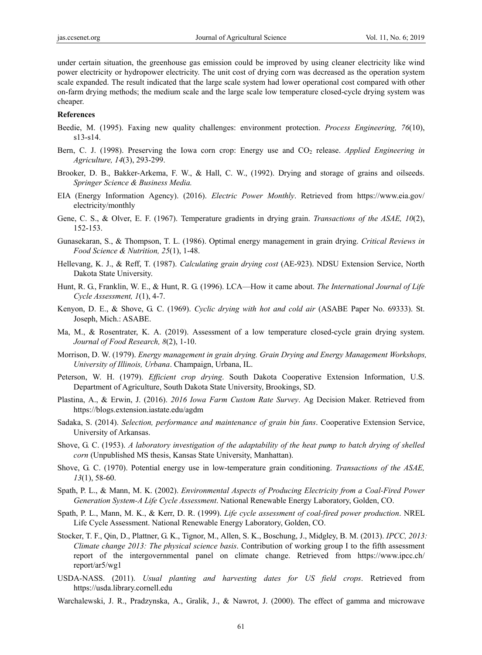under certain situation, the greenhouse gas emission could be improved by using cleaner electricity like wind power electricity or hydropower electricity. The unit cost of drying corn was decreased as the operation system scale expanded. The result indicated that the large scale system had lower operational cost compared with other on-farm drying methods; the medium scale and the large scale low temperature closed-cycle drying system was cheaper.

#### **References**

- Beedie, M. (1995). Faxing new quality challenges: environment protection. *Process Engineering, 76*(10), s13-s14.
- Bern, C. J. (1998). Preserving the Iowa corn crop: Energy use and CO<sub>2</sub> release. *Applied Engineering in Agriculture, 14*(3), 293-299.
- Brooker, D. B., Bakker-Arkema, F. W., & Hall, C. W., (1992). Drying and storage of grains and oilseeds. *Springer Science & Business Media.*
- EIA (Energy Information Agency). (2016). *Electric Power Monthly*. Retrieved from https://www.eia.gov/ electricity/monthly
- Gene, C. S., & Olver, E. F. (1967). Temperature gradients in drying grain. *Transactions of the ASAE, 10*(2), 152-153.
- Gunasekaran, S., & Thompson, T. L. (1986). Optimal energy management in grain drying. *Critical Reviews in Food Science & Nutrition, 25*(1), 1-48.
- Hellevang, K. J., & Reff, T. (1987). *Calculating grain drying cost* (AE-923). NDSU Extension Service, North Dakota State University.
- Hunt, R. G., Franklin, W. E., & Hunt, R. G. (1996). LCA—How it came about. *The International Journal of Life Cycle Assessment, 1*(1), 4-7.
- Kenyon, D. E., & Shove, G. C. (1969). *Cyclic drying with hot and cold air* (ASABE Paper No. 69333). St. Joseph, Mich.: ASABE.
- Ma, M., & Rosentrater, K. A. (2019). Assessment of a low temperature closed-cycle grain drying system. *Journal of Food Research, 8*(2), 1-10.
- Morrison, D. W. (1979). *Energy management in grain drying. Grain Drying and Energy Management Workshops, University of Illinois, Urbana*. Champaign, Urbana, IL.
- Peterson, W. H. (1979). *Efficient crop drying*. South Dakota Cooperative Extension Information, U.S. Department of Agriculture, South Dakota State University, Brookings, SD.
- Plastina, A., & Erwin, J. (2016). *2016 Iowa Farm Custom Rate Survey*. Ag Decision Maker. Retrieved from https://blogs.extension.iastate.edu/agdm
- Sadaka, S. (2014). *Selection, performance and maintenance of grain bin fans*. Cooperative Extension Service, University of Arkansas.
- Shove, G. C. (1953). *A laboratory investigation of the adaptability of the heat pump to batch drying of shelled corn* (Unpublished MS thesis, Kansas State University, Manhattan).
- Shove, G. C. (1970). Potential energy use in low-temperature grain conditioning. *Transactions of the ASAE, 13*(1), 58-60.
- Spath, P. L., & Mann, M. K. (2002). *Environmental Aspects of Producing Electricity from a Coal-Fired Power Generation System-A Life Cycle Assessment*. National Renewable Energy Laboratory, Golden, CO.
- Spath, P. L., Mann, M. K., & Kerr, D. R. (1999). *Life cycle assessment of coal-fired power production*. NREL Life Cycle Assessment. National Renewable Energy Laboratory, Golden, CO.
- Stocker, T. F., Qin, D., Plattner, G. K., Tignor, M., Allen, S. K., Boschung, J., Midgley, B. M. (2013). *IPCC, 2013: Climate change 2013: The physical science basis*. Contribution of working group I to the fifth assessment report of the intergovernmental panel on climate change. Retrieved from https://www.ipcc.ch/ report/ar5/wg1
- USDA-NASS. (2011). *Usual planting and harvesting dates for US field crops*. Retrieved from https://usda.library.cornell.edu
- Warchalewski, J. R., Pradzynska, A., Gralik, J., & Nawrot, J. (2000). The effect of gamma and microwave